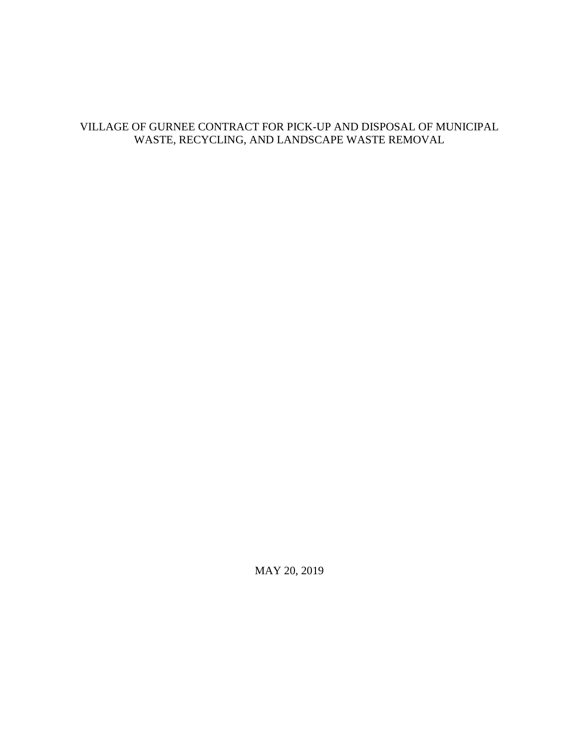# VILLAGE OF GURNEE CONTRACT FOR PICK-UP AND DISPOSAL OF MUNICIPAL WASTE, RECYCLING, AND LANDSCAPE WASTE REMOVAL

MAY 20, 2019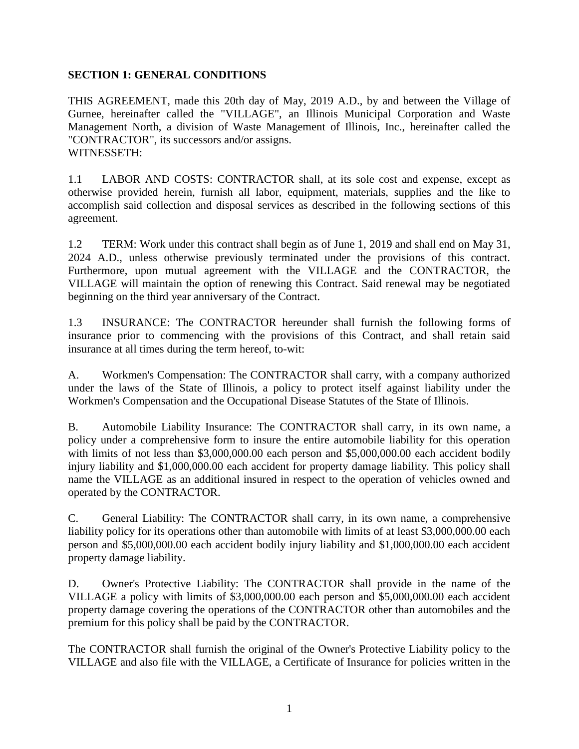#### **SECTION 1: GENERAL CONDITIONS**

THIS AGREEMENT, made this 20th day of May, 2019 A.D., by and between the Village of Gurnee, hereinafter called the "VILLAGE", an Illinois Municipal Corporation and Waste Management North, a division of Waste Management of Illinois, Inc., hereinafter called the "CONTRACTOR", its successors and/or assigns. WITNESSETH:

1.1 LABOR AND COSTS: CONTRACTOR shall, at its sole cost and expense, except as otherwise provided herein, furnish all labor, equipment, materials, supplies and the like to accomplish said collection and disposal services as described in the following sections of this agreement.

1.2 TERM: Work under this contract shall begin as of June 1, 2019 and shall end on May 31, 2024 A.D., unless otherwise previously terminated under the provisions of this contract. Furthermore, upon mutual agreement with the VILLAGE and the CONTRACTOR, the VILLAGE will maintain the option of renewing this Contract. Said renewal may be negotiated beginning on the third year anniversary of the Contract.

1.3 INSURANCE: The CONTRACTOR hereunder shall furnish the following forms of insurance prior to commencing with the provisions of this Contract, and shall retain said insurance at all times during the term hereof, to-wit:

A. Workmen's Compensation: The CONTRACTOR shall carry, with a company authorized under the laws of the State of Illinois, a policy to protect itself against liability under the Workmen's Compensation and the Occupational Disease Statutes of the State of Illinois.

B. Automobile Liability Insurance: The CONTRACTOR shall carry, in its own name, a policy under a comprehensive form to insure the entire automobile liability for this operation with limits of not less than \$3,000,000.00 each person and \$5,000,000.00 each accident bodily injury liability and \$1,000,000.00 each accident for property damage liability. This policy shall name the VILLAGE as an additional insured in respect to the operation of vehicles owned and operated by the CONTRACTOR.

C. General Liability: The CONTRACTOR shall carry, in its own name, a comprehensive liability policy for its operations other than automobile with limits of at least \$3,000,000.00 each person and \$5,000,000.00 each accident bodily injury liability and \$1,000,000.00 each accident property damage liability.

D. Owner's Protective Liability: The CONTRACTOR shall provide in the name of the VILLAGE a policy with limits of \$3,000,000.00 each person and \$5,000,000.00 each accident property damage covering the operations of the CONTRACTOR other than automobiles and the premium for this policy shall be paid by the CONTRACTOR.

The CONTRACTOR shall furnish the original of the Owner's Protective Liability policy to the VILLAGE and also file with the VILLAGE, a Certificate of Insurance for policies written in the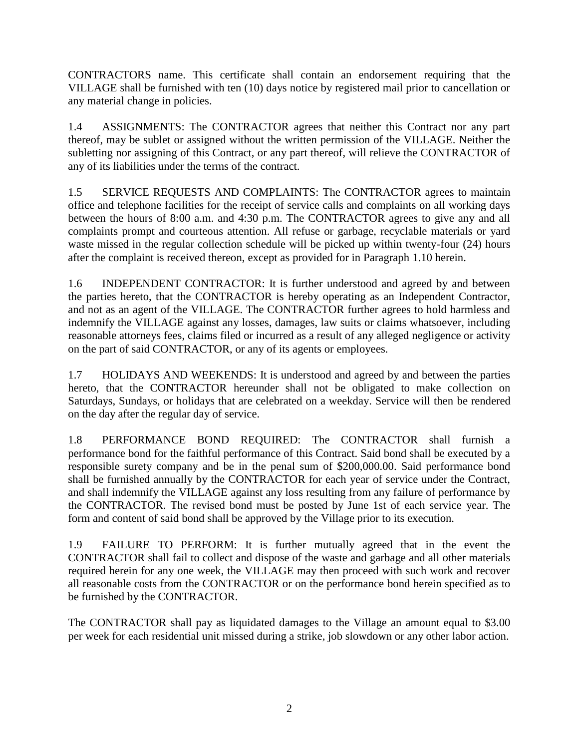CONTRACTORS name. This certificate shall contain an endorsement requiring that the VILLAGE shall be furnished with ten (10) days notice by registered mail prior to cancellation or any material change in policies.

1.4 ASSIGNMENTS: The CONTRACTOR agrees that neither this Contract nor any part thereof, may be sublet or assigned without the written permission of the VILLAGE. Neither the subletting nor assigning of this Contract, or any part thereof, will relieve the CONTRACTOR of any of its liabilities under the terms of the contract.

1.5 SERVICE REQUESTS AND COMPLAINTS: The CONTRACTOR agrees to maintain office and telephone facilities for the receipt of service calls and complaints on all working days between the hours of 8:00 a.m. and 4:30 p.m. The CONTRACTOR agrees to give any and all complaints prompt and courteous attention. All refuse or garbage, recyclable materials or yard waste missed in the regular collection schedule will be picked up within twenty-four (24) hours after the complaint is received thereon, except as provided for in Paragraph 1.10 herein.

1.6 INDEPENDENT CONTRACTOR: It is further understood and agreed by and between the parties hereto, that the CONTRACTOR is hereby operating as an Independent Contractor, and not as an agent of the VILLAGE. The CONTRACTOR further agrees to hold harmless and indemnify the VILLAGE against any losses, damages, law suits or claims whatsoever, including reasonable attorneys fees, claims filed or incurred as a result of any alleged negligence or activity on the part of said CONTRACTOR, or any of its agents or employees.

1.7 HOLIDAYS AND WEEKENDS: It is understood and agreed by and between the parties hereto, that the CONTRACTOR hereunder shall not be obligated to make collection on Saturdays, Sundays, or holidays that are celebrated on a weekday. Service will then be rendered on the day after the regular day of service.

1.8 PERFORMANCE BOND REQUIRED: The CONTRACTOR shall furnish a performance bond for the faithful performance of this Contract. Said bond shall be executed by a responsible surety company and be in the penal sum of \$200,000.00. Said performance bond shall be furnished annually by the CONTRACTOR for each year of service under the Contract, and shall indemnify the VILLAGE against any loss resulting from any failure of performance by the CONTRACTOR. The revised bond must be posted by June 1st of each service year. The form and content of said bond shall be approved by the Village prior to its execution.

1.9 FAILURE TO PERFORM: It is further mutually agreed that in the event the CONTRACTOR shall fail to collect and dispose of the waste and garbage and all other materials required herein for any one week, the VILLAGE may then proceed with such work and recover all reasonable costs from the CONTRACTOR or on the performance bond herein specified as to be furnished by the CONTRACTOR.

The CONTRACTOR shall pay as liquidated damages to the Village an amount equal to \$3.00 per week for each residential unit missed during a strike, job slowdown or any other labor action.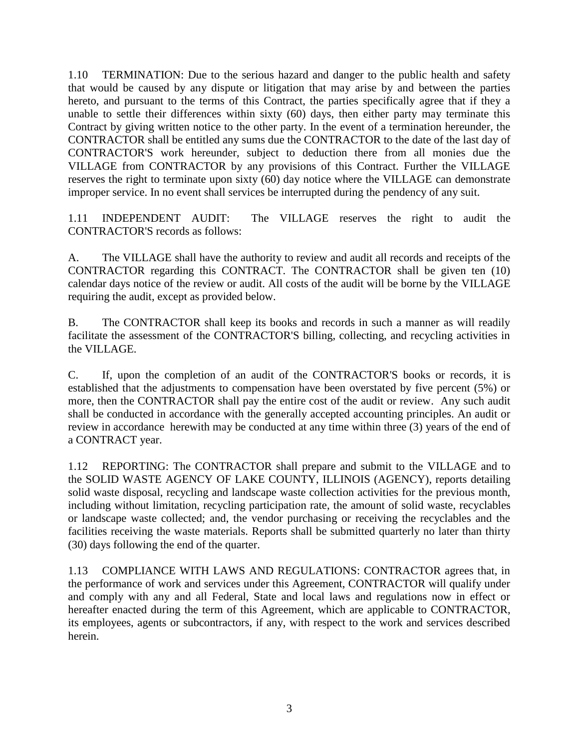1.10 TERMINATION: Due to the serious hazard and danger to the public health and safety that would be caused by any dispute or litigation that may arise by and between the parties hereto, and pursuant to the terms of this Contract, the parties specifically agree that if they a unable to settle their differences within sixty (60) days, then either party may terminate this Contract by giving written notice to the other party. In the event of a termination hereunder, the CONTRACTOR shall be entitled any sums due the CONTRACTOR to the date of the last day of CONTRACTOR'S work hereunder, subject to deduction there from all monies due the VILLAGE from CONTRACTOR by any provisions of this Contract. Further the VILLAGE reserves the right to terminate upon sixty (60) day notice where the VILLAGE can demonstrate improper service. In no event shall services be interrupted during the pendency of any suit.

1.11 INDEPENDENT AUDIT: The VILLAGE reserves the right to audit the CONTRACTOR'S records as follows:

A. The VILLAGE shall have the authority to review and audit all records and receipts of the CONTRACTOR regarding this CONTRACT. The CONTRACTOR shall be given ten (10) calendar days notice of the review or audit. All costs of the audit will be borne by the VILLAGE requiring the audit, except as provided below.

B. The CONTRACTOR shall keep its books and records in such a manner as will readily facilitate the assessment of the CONTRACTOR'S billing, collecting, and recycling activities in the VILLAGE.

C. If, upon the completion of an audit of the CONTRACTOR'S books or records, it is established that the adjustments to compensation have been overstated by five percent (5%) or more, then the CONTRACTOR shall pay the entire cost of the audit or review. Any such audit shall be conducted in accordance with the generally accepted accounting principles. An audit or review in accordance herewith may be conducted at any time within three (3) years of the end of a CONTRACT year.

1.12 REPORTING: The CONTRACTOR shall prepare and submit to the VILLAGE and to the SOLID WASTE AGENCY OF LAKE COUNTY, ILLINOIS (AGENCY), reports detailing solid waste disposal, recycling and landscape waste collection activities for the previous month, including without limitation, recycling participation rate, the amount of solid waste, recyclables or landscape waste collected; and, the vendor purchasing or receiving the recyclables and the facilities receiving the waste materials. Reports shall be submitted quarterly no later than thirty (30) days following the end of the quarter.

1.13 COMPLIANCE WITH LAWS AND REGULATIONS: CONTRACTOR agrees that, in the performance of work and services under this Agreement, CONTRACTOR will qualify under and comply with any and all Federal, State and local laws and regulations now in effect or hereafter enacted during the term of this Agreement, which are applicable to CONTRACTOR, its employees, agents or subcontractors, if any, with respect to the work and services described herein.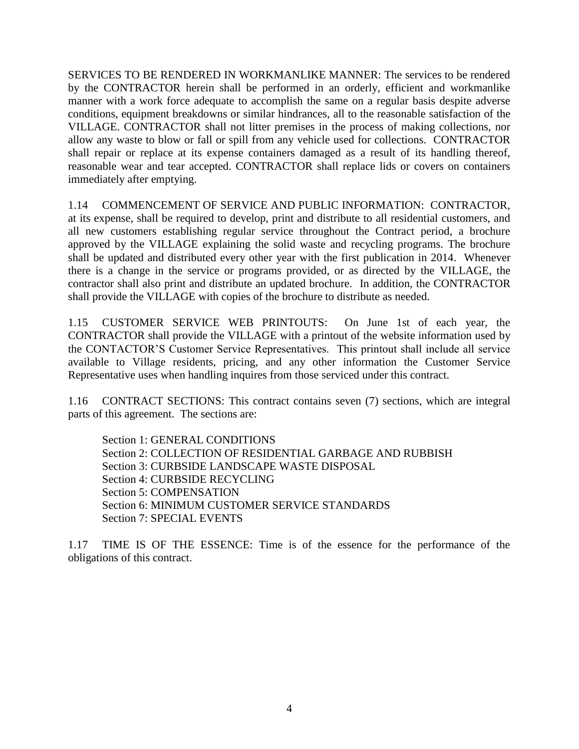SERVICES TO BE RENDERED IN WORKMANLIKE MANNER: The services to be rendered by the CONTRACTOR herein shall be performed in an orderly, efficient and workmanlike manner with a work force adequate to accomplish the same on a regular basis despite adverse conditions, equipment breakdowns or similar hindrances, all to the reasonable satisfaction of the VILLAGE. CONTRACTOR shall not litter premises in the process of making collections, nor allow any waste to blow or fall or spill from any vehicle used for collections. CONTRACTOR shall repair or replace at its expense containers damaged as a result of its handling thereof, reasonable wear and tear accepted. CONTRACTOR shall replace lids or covers on containers immediately after emptying.

1.14 COMMENCEMENT OF SERVICE AND PUBLIC INFORMATION: CONTRACTOR, at its expense, shall be required to develop, print and distribute to all residential customers, and all new customers establishing regular service throughout the Contract period, a brochure approved by the VILLAGE explaining the solid waste and recycling programs. The brochure shall be updated and distributed every other year with the first publication in 2014. Whenever there is a change in the service or programs provided, or as directed by the VILLAGE, the contractor shall also print and distribute an updated brochure. In addition, the CONTRACTOR shall provide the VILLAGE with copies of the brochure to distribute as needed.

1.15 CUSTOMER SERVICE WEB PRINTOUTS: On June 1st of each year, the CONTRACTOR shall provide the VILLAGE with a printout of the website information used by the CONTACTOR'S Customer Service Representatives. This printout shall include all service available to Village residents, pricing, and any other information the Customer Service Representative uses when handling inquires from those serviced under this contract.

1.16 CONTRACT SECTIONS: This contract contains seven (7) sections, which are integral parts of this agreement. The sections are:

Section 1: GENERAL CONDITIONS Section 2: COLLECTION OF RESIDENTIAL GARBAGE AND RUBBISH Section 3: CURBSIDE LANDSCAPE WASTE DISPOSAL Section 4: CURBSIDE RECYCLING Section 5: COMPENSATION Section 6: MINIMUM CUSTOMER SERVICE STANDARDS Section 7: SPECIAL EVENTS

1.17 TIME IS OF THE ESSENCE: Time is of the essence for the performance of the obligations of this contract.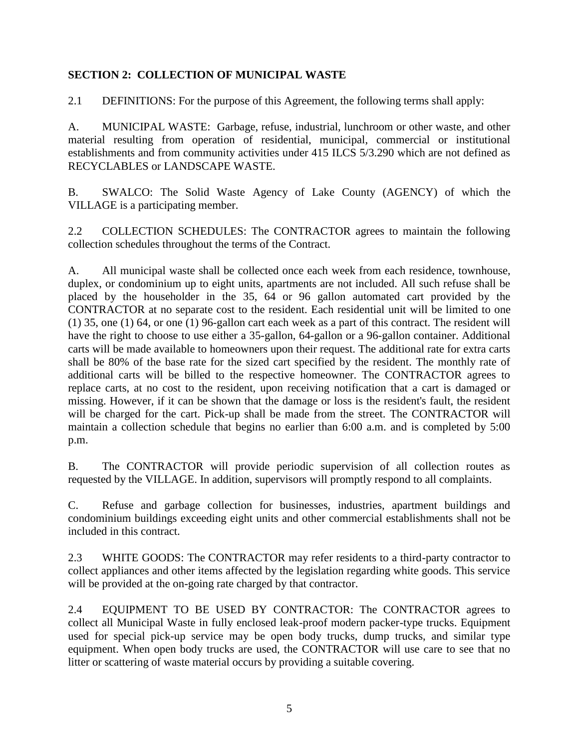#### **SECTION 2: COLLECTION OF MUNICIPAL WASTE**

2.1 DEFINITIONS: For the purpose of this Agreement, the following terms shall apply:

A. MUNICIPAL WASTE: Garbage, refuse, industrial, lunchroom or other waste, and other material resulting from operation of residential, municipal, commercial or institutional establishments and from community activities under 415 ILCS 5/3.290 which are not defined as RECYCLABLES or LANDSCAPE WASTE.

B. SWALCO: The Solid Waste Agency of Lake County (AGENCY) of which the VILLAGE is a participating member.

2.2 COLLECTION SCHEDULES: The CONTRACTOR agrees to maintain the following collection schedules throughout the terms of the Contract.

A. All municipal waste shall be collected once each week from each residence, townhouse, duplex, or condominium up to eight units, apartments are not included. All such refuse shall be placed by the householder in the 35, 64 or 96 gallon automated cart provided by the CONTRACTOR at no separate cost to the resident. Each residential unit will be limited to one (1) 35, one (1) 64, or one (1) 96-gallon cart each week as a part of this contract. The resident will have the right to choose to use either a 35-gallon, 64-gallon or a 96-gallon container. Additional carts will be made available to homeowners upon their request. The additional rate for extra carts shall be 80% of the base rate for the sized cart specified by the resident. The monthly rate of additional carts will be billed to the respective homeowner. The CONTRACTOR agrees to replace carts, at no cost to the resident, upon receiving notification that a cart is damaged or missing. However, if it can be shown that the damage or loss is the resident's fault, the resident will be charged for the cart. Pick-up shall be made from the street. The CONTRACTOR will maintain a collection schedule that begins no earlier than 6:00 a.m. and is completed by 5:00 p.m.

B. The CONTRACTOR will provide periodic supervision of all collection routes as requested by the VILLAGE. In addition, supervisors will promptly respond to all complaints.

C. Refuse and garbage collection for businesses, industries, apartment buildings and condominium buildings exceeding eight units and other commercial establishments shall not be included in this contract.

2.3 WHITE GOODS: The CONTRACTOR may refer residents to a third-party contractor to collect appliances and other items affected by the legislation regarding white goods. This service will be provided at the on-going rate charged by that contractor.

2.4 EQUIPMENT TO BE USED BY CONTRACTOR: The CONTRACTOR agrees to collect all Municipal Waste in fully enclosed leak-proof modern packer-type trucks. Equipment used for special pick-up service may be open body trucks, dump trucks, and similar type equipment. When open body trucks are used, the CONTRACTOR will use care to see that no litter or scattering of waste material occurs by providing a suitable covering.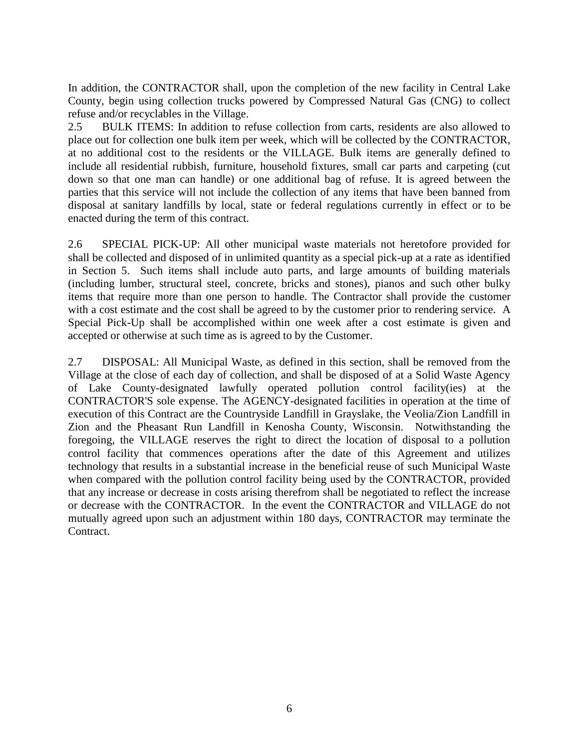In addition, the CONTRACTOR shall, upon the completion of the new facility in Central Lake County, begin using collection trucks powered by Compressed Natural Gas (CNG) to collect refuse and/or recyclables in the Village.

2.5 BULK ITEMS: In addition to refuse collection from carts, residents are also allowed to place out for collection one bulk item per week, which will be collected by the CONTRACTOR, at no additional cost to the residents or the VILLAGE. Bulk items are generally defined to include all residential rubbish, furniture, household fixtures, small car parts and carpeting (cut down so that one man can handle) or one additional bag of refuse. It is agreed between the parties that this service will not include the collection of any items that have been banned from disposal at sanitary landfills by local, state or federal regulations currently in effect or to be enacted during the term of this contract.

2.6 SPECIAL PICK-UP: All other municipal waste materials not heretofore provided for shall be collected and disposed of in unlimited quantity as a special pick-up at a rate as identified in Section 5. Such items shall include auto parts, and large amounts of building materials (including lumber, structural steel, concrete, bricks and stones), pianos and such other bulky items that require more than one person to handle. The Contractor shall provide the customer with a cost estimate and the cost shall be agreed to by the customer prior to rendering service. A Special Pick-Up shall be accomplished within one week after a cost estimate is given and accepted or otherwise at such time as is agreed to by the Customer.

2.7 DISPOSAL: All Municipal Waste, as defined in this section, shall be removed from the Village at the close of each day of collection, and shall be disposed of at a Solid Waste Agency of Lake County-designated lawfully operated pollution control facility(ies) at the CONTRACTOR'S sole expense. The AGENCY-designated facilities in operation at the time of execution of this Contract are the Countryside Landfill in Grayslake, the Veolia/Zion Landfill in Zion and the Pheasant Run Landfill in Kenosha County, Wisconsin. Notwithstanding the foregoing, the VILLAGE reserves the right to direct the location of disposal to a pollution control facility that commences operations after the date of this Agreement and utilizes technology that results in a substantial increase in the beneficial reuse of such Municipal Waste when compared with the pollution control facility being used by the CONTRACTOR, provided that any increase or decrease in costs arising therefrom shall be negotiated to reflect the increase or decrease with the CONTRACTOR. In the event the CONTRACTOR and VILLAGE do not mutually agreed upon such an adjustment within 180 days, CONTRACTOR may terminate the Contract.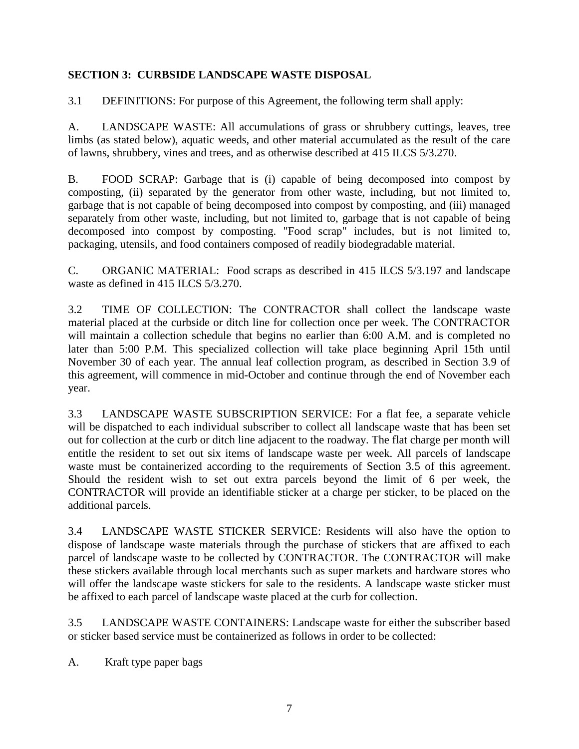# **SECTION 3: CURBSIDE LANDSCAPE WASTE DISPOSAL**

3.1 DEFINITIONS: For purpose of this Agreement, the following term shall apply:

A. LANDSCAPE WASTE: All accumulations of grass or shrubbery cuttings, leaves, tree limbs (as stated below), aquatic weeds, and other material accumulated as the result of the care of lawns, shrubbery, vines and trees, and as otherwise described at 415 ILCS 5/3.270.

B. FOOD SCRAP: Garbage that is (i) capable of being decomposed into compost by composting, (ii) separated by the generator from other waste, including, but not limited to, garbage that is not capable of being decomposed into compost by composting, and (iii) managed separately from other waste, including, but not limited to, garbage that is not capable of being decomposed into compost by composting. "Food scrap" includes, but is not limited to, packaging, utensils, and food containers composed of readily biodegradable material.

C. ORGANIC MATERIAL: Food scraps as described in 415 ILCS 5/3.197 and landscape waste as defined in 415 ILCS 5/3.270.

3.2 TIME OF COLLECTION: The CONTRACTOR shall collect the landscape waste material placed at the curbside or ditch line for collection once per week. The CONTRACTOR will maintain a collection schedule that begins no earlier than 6:00 A.M. and is completed no later than 5:00 P.M. This specialized collection will take place beginning April 15th until November 30 of each year. The annual leaf collection program, as described in Section 3.9 of this agreement, will commence in mid-October and continue through the end of November each year.

3.3 LANDSCAPE WASTE SUBSCRIPTION SERVICE: For a flat fee, a separate vehicle will be dispatched to each individual subscriber to collect all landscape waste that has been set out for collection at the curb or ditch line adjacent to the roadway. The flat charge per month will entitle the resident to set out six items of landscape waste per week. All parcels of landscape waste must be containerized according to the requirements of Section 3.5 of this agreement. Should the resident wish to set out extra parcels beyond the limit of 6 per week, the CONTRACTOR will provide an identifiable sticker at a charge per sticker, to be placed on the additional parcels.

3.4 LANDSCAPE WASTE STICKER SERVICE: Residents will also have the option to dispose of landscape waste materials through the purchase of stickers that are affixed to each parcel of landscape waste to be collected by CONTRACTOR. The CONTRACTOR will make these stickers available through local merchants such as super markets and hardware stores who will offer the landscape waste stickers for sale to the residents. A landscape waste sticker must be affixed to each parcel of landscape waste placed at the curb for collection.

3.5 LANDSCAPE WASTE CONTAINERS: Landscape waste for either the subscriber based or sticker based service must be containerized as follows in order to be collected:

A. Kraft type paper bags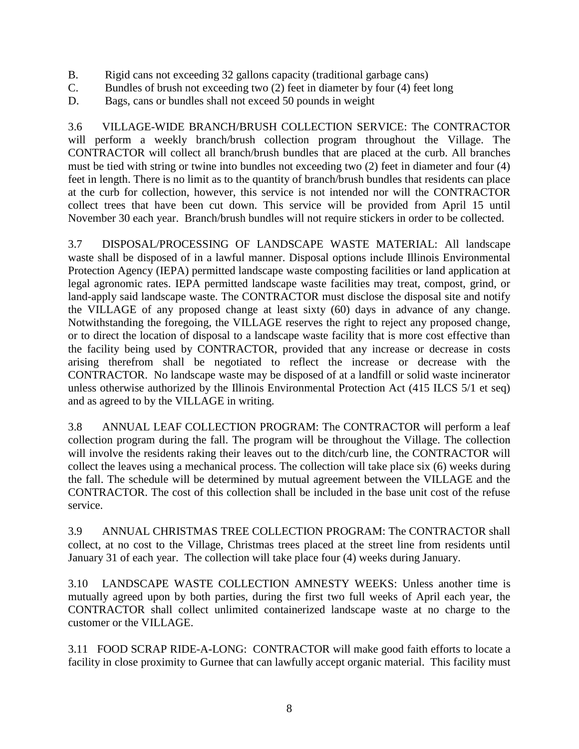- B. Rigid cans not exceeding 32 gallons capacity (traditional garbage cans)
- C. Bundles of brush not exceeding two (2) feet in diameter by four (4) feet long
- D. Bags, cans or bundles shall not exceed 50 pounds in weight

3.6 VILLAGE-WIDE BRANCH/BRUSH COLLECTION SERVICE: The CONTRACTOR will perform a weekly branch/brush collection program throughout the Village. The CONTRACTOR will collect all branch/brush bundles that are placed at the curb. All branches must be tied with string or twine into bundles not exceeding two (2) feet in diameter and four (4) feet in length. There is no limit as to the quantity of branch/brush bundles that residents can place at the curb for collection, however, this service is not intended nor will the CONTRACTOR collect trees that have been cut down. This service will be provided from April 15 until November 30 each year. Branch/brush bundles will not require stickers in order to be collected.

3.7 DISPOSAL/PROCESSING OF LANDSCAPE WASTE MATERIAL: All landscape waste shall be disposed of in a lawful manner. Disposal options include Illinois Environmental Protection Agency (IEPA) permitted landscape waste composting facilities or land application at legal agronomic rates. IEPA permitted landscape waste facilities may treat, compost, grind, or land-apply said landscape waste. The CONTRACTOR must disclose the disposal site and notify the VILLAGE of any proposed change at least sixty (60) days in advance of any change. Notwithstanding the foregoing, the VILLAGE reserves the right to reject any proposed change, or to direct the location of disposal to a landscape waste facility that is more cost effective than the facility being used by CONTRACTOR, provided that any increase or decrease in costs arising therefrom shall be negotiated to reflect the increase or decrease with the CONTRACTOR. No landscape waste may be disposed of at a landfill or solid waste incinerator unless otherwise authorized by the Illinois Environmental Protection Act (415 ILCS 5/1 et seq) and as agreed to by the VILLAGE in writing.

3.8 ANNUAL LEAF COLLECTION PROGRAM: The CONTRACTOR will perform a leaf collection program during the fall. The program will be throughout the Village. The collection will involve the residents raking their leaves out to the ditch/curb line, the CONTRACTOR will collect the leaves using a mechanical process. The collection will take place six (6) weeks during the fall. The schedule will be determined by mutual agreement between the VILLAGE and the CONTRACTOR. The cost of this collection shall be included in the base unit cost of the refuse service.

3.9 ANNUAL CHRISTMAS TREE COLLECTION PROGRAM: The CONTRACTOR shall collect, at no cost to the Village, Christmas trees placed at the street line from residents until January 31 of each year. The collection will take place four (4) weeks during January.

3.10 LANDSCAPE WASTE COLLECTION AMNESTY WEEKS: Unless another time is mutually agreed upon by both parties, during the first two full weeks of April each year, the CONTRACTOR shall collect unlimited containerized landscape waste at no charge to the customer or the VILLAGE.

3.11 FOOD SCRAP RIDE-A-LONG: CONTRACTOR will make good faith efforts to locate a facility in close proximity to Gurnee that can lawfully accept organic material. This facility must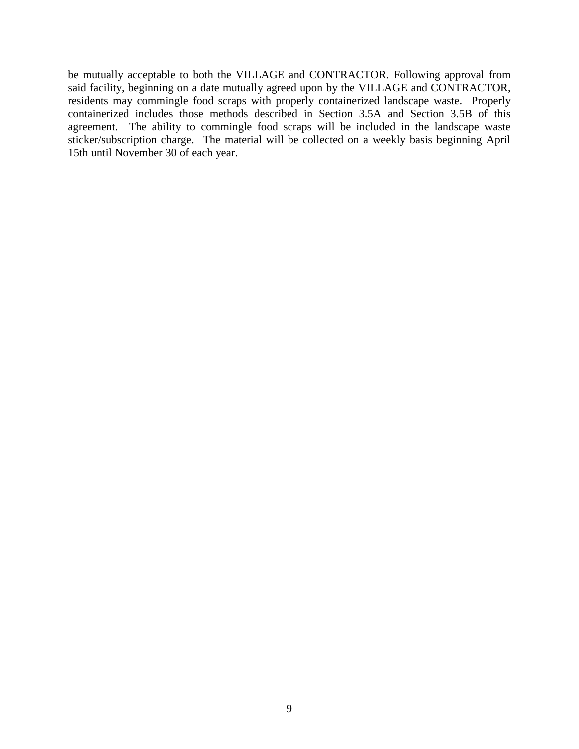be mutually acceptable to both the VILLAGE and CONTRACTOR. Following approval from said facility, beginning on a date mutually agreed upon by the VILLAGE and CONTRACTOR, residents may commingle food scraps with properly containerized landscape waste. Properly containerized includes those methods described in Section 3.5A and Section 3.5B of this agreement. The ability to commingle food scraps will be included in the landscape waste sticker/subscription charge. The material will be collected on a weekly basis beginning April 15th until November 30 of each year.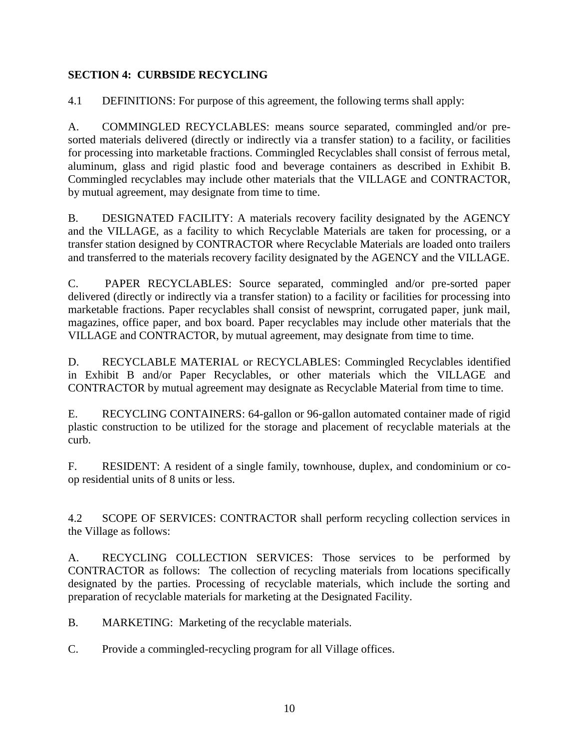## **SECTION 4: CURBSIDE RECYCLING**

4.1 DEFINITIONS: For purpose of this agreement, the following terms shall apply:

A. COMMINGLED RECYCLABLES: means source separated, commingled and/or presorted materials delivered (directly or indirectly via a transfer station) to a facility, or facilities for processing into marketable fractions. Commingled Recyclables shall consist of ferrous metal, aluminum, glass and rigid plastic food and beverage containers as described in Exhibit B. Commingled recyclables may include other materials that the VILLAGE and CONTRACTOR, by mutual agreement, may designate from time to time.

B. DESIGNATED FACILITY: A materials recovery facility designated by the AGENCY and the VILLAGE, as a facility to which Recyclable Materials are taken for processing, or a transfer station designed by CONTRACTOR where Recyclable Materials are loaded onto trailers and transferred to the materials recovery facility designated by the AGENCY and the VILLAGE.

C. PAPER RECYCLABLES: Source separated, commingled and/or pre-sorted paper delivered (directly or indirectly via a transfer station) to a facility or facilities for processing into marketable fractions. Paper recyclables shall consist of newsprint, corrugated paper, junk mail, magazines, office paper, and box board. Paper recyclables may include other materials that the VILLAGE and CONTRACTOR, by mutual agreement, may designate from time to time.

D. RECYCLABLE MATERIAL or RECYCLABLES: Commingled Recyclables identified in Exhibit B and/or Paper Recyclables, or other materials which the VILLAGE and CONTRACTOR by mutual agreement may designate as Recyclable Material from time to time.

E. RECYCLING CONTAINERS: 64-gallon or 96-gallon automated container made of rigid plastic construction to be utilized for the storage and placement of recyclable materials at the curb.

F. RESIDENT: A resident of a single family, townhouse, duplex, and condominium or coop residential units of 8 units or less.

4.2 SCOPE OF SERVICES: CONTRACTOR shall perform recycling collection services in the Village as follows:

A. RECYCLING COLLECTION SERVICES: Those services to be performed by CONTRACTOR as follows: The collection of recycling materials from locations specifically designated by the parties. Processing of recyclable materials, which include the sorting and preparation of recyclable materials for marketing at the Designated Facility.

B. MARKETING: Marketing of the recyclable materials.

C. Provide a commingled-recycling program for all Village offices.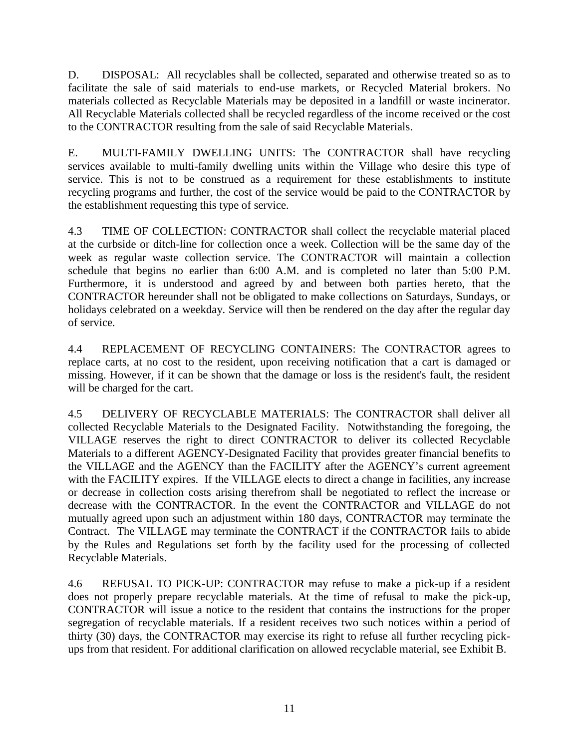D. DISPOSAL: All recyclables shall be collected, separated and otherwise treated so as to facilitate the sale of said materials to end-use markets, or Recycled Material brokers. No materials collected as Recyclable Materials may be deposited in a landfill or waste incinerator. All Recyclable Materials collected shall be recycled regardless of the income received or the cost to the CONTRACTOR resulting from the sale of said Recyclable Materials.

E. MULTI-FAMILY DWELLING UNITS: The CONTRACTOR shall have recycling services available to multi-family dwelling units within the Village who desire this type of service. This is not to be construed as a requirement for these establishments to institute recycling programs and further, the cost of the service would be paid to the CONTRACTOR by the establishment requesting this type of service.

4.3 TIME OF COLLECTION: CONTRACTOR shall collect the recyclable material placed at the curbside or ditch-line for collection once a week. Collection will be the same day of the week as regular waste collection service. The CONTRACTOR will maintain a collection schedule that begins no earlier than 6:00 A.M. and is completed no later than 5:00 P.M. Furthermore, it is understood and agreed by and between both parties hereto, that the CONTRACTOR hereunder shall not be obligated to make collections on Saturdays, Sundays, or holidays celebrated on a weekday. Service will then be rendered on the day after the regular day of service.

4.4 REPLACEMENT OF RECYCLING CONTAINERS: The CONTRACTOR agrees to replace carts, at no cost to the resident, upon receiving notification that a cart is damaged or missing. However, if it can be shown that the damage or loss is the resident's fault, the resident will be charged for the cart.

4.5 DELIVERY OF RECYCLABLE MATERIALS: The CONTRACTOR shall deliver all collected Recyclable Materials to the Designated Facility. Notwithstanding the foregoing, the VILLAGE reserves the right to direct CONTRACTOR to deliver its collected Recyclable Materials to a different AGENCY-Designated Facility that provides greater financial benefits to the VILLAGE and the AGENCY than the FACILITY after the AGENCY's current agreement with the FACILITY expires. If the VILLAGE elects to direct a change in facilities, any increase or decrease in collection costs arising therefrom shall be negotiated to reflect the increase or decrease with the CONTRACTOR. In the event the CONTRACTOR and VILLAGE do not mutually agreed upon such an adjustment within 180 days, CONTRACTOR may terminate the Contract. The VILLAGE may terminate the CONTRACT if the CONTRACTOR fails to abide by the Rules and Regulations set forth by the facility used for the processing of collected Recyclable Materials.

4.6 REFUSAL TO PICK-UP: CONTRACTOR may refuse to make a pick-up if a resident does not properly prepare recyclable materials. At the time of refusal to make the pick-up, CONTRACTOR will issue a notice to the resident that contains the instructions for the proper segregation of recyclable materials. If a resident receives two such notices within a period of thirty (30) days, the CONTRACTOR may exercise its right to refuse all further recycling pickups from that resident. For additional clarification on allowed recyclable material, see Exhibit B.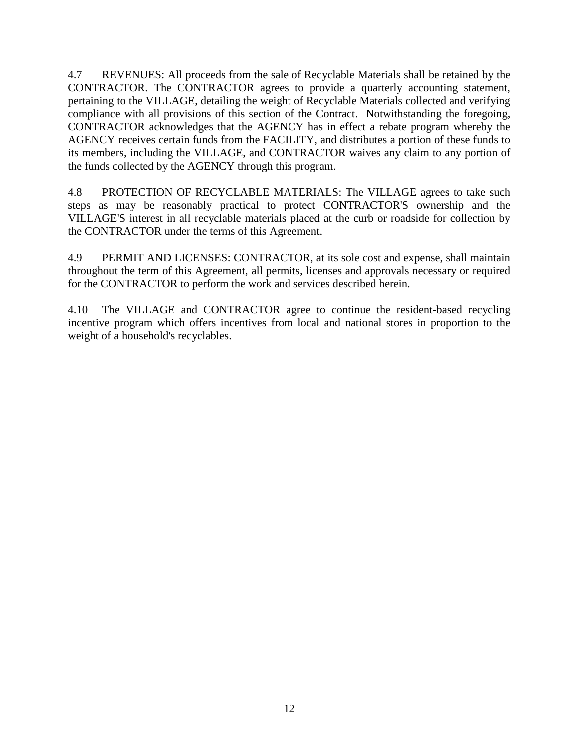4.7 REVENUES: All proceeds from the sale of Recyclable Materials shall be retained by the CONTRACTOR. The CONTRACTOR agrees to provide a quarterly accounting statement, pertaining to the VILLAGE, detailing the weight of Recyclable Materials collected and verifying compliance with all provisions of this section of the Contract. Notwithstanding the foregoing, CONTRACTOR acknowledges that the AGENCY has in effect a rebate program whereby the AGENCY receives certain funds from the FACILITY, and distributes a portion of these funds to its members, including the VILLAGE, and CONTRACTOR waives any claim to any portion of the funds collected by the AGENCY through this program.

4.8 PROTECTION OF RECYCLABLE MATERIALS: The VILLAGE agrees to take such steps as may be reasonably practical to protect CONTRACTOR'S ownership and the VILLAGE'S interest in all recyclable materials placed at the curb or roadside for collection by the CONTRACTOR under the terms of this Agreement.

4.9 PERMIT AND LICENSES: CONTRACTOR, at its sole cost and expense, shall maintain throughout the term of this Agreement, all permits, licenses and approvals necessary or required for the CONTRACTOR to perform the work and services described herein.

4.10 The VILLAGE and CONTRACTOR agree to continue the resident-based recycling incentive program which offers incentives from local and national stores in proportion to the weight of a household's recyclables.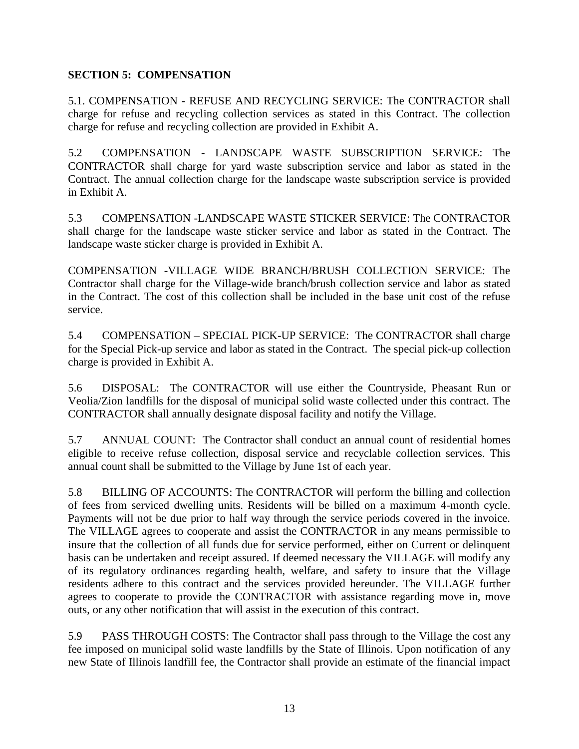## **SECTION 5: COMPENSATION**

5.1. COMPENSATION - REFUSE AND RECYCLING SERVICE: The CONTRACTOR shall charge for refuse and recycling collection services as stated in this Contract. The collection charge for refuse and recycling collection are provided in Exhibit A.

5.2 COMPENSATION - LANDSCAPE WASTE SUBSCRIPTION SERVICE: The CONTRACTOR shall charge for yard waste subscription service and labor as stated in the Contract. The annual collection charge for the landscape waste subscription service is provided in Exhibit A.

5.3 COMPENSATION -LANDSCAPE WASTE STICKER SERVICE: The CONTRACTOR shall charge for the landscape waste sticker service and labor as stated in the Contract. The landscape waste sticker charge is provided in Exhibit A.

COMPENSATION -VILLAGE WIDE BRANCH/BRUSH COLLECTION SERVICE: The Contractor shall charge for the Village-wide branch/brush collection service and labor as stated in the Contract. The cost of this collection shall be included in the base unit cost of the refuse service.

5.4 COMPENSATION – SPECIAL PICK-UP SERVICE: The CONTRACTOR shall charge for the Special Pick-up service and labor as stated in the Contract. The special pick-up collection charge is provided in Exhibit A.

5.6 DISPOSAL: The CONTRACTOR will use either the Countryside, Pheasant Run or Veolia/Zion landfills for the disposal of municipal solid waste collected under this contract. The CONTRACTOR shall annually designate disposal facility and notify the Village.

5.7 ANNUAL COUNT: The Contractor shall conduct an annual count of residential homes eligible to receive refuse collection, disposal service and recyclable collection services. This annual count shall be submitted to the Village by June 1st of each year.

5.8 BILLING OF ACCOUNTS: The CONTRACTOR will perform the billing and collection of fees from serviced dwelling units. Residents will be billed on a maximum 4-month cycle. Payments will not be due prior to half way through the service periods covered in the invoice. The VILLAGE agrees to cooperate and assist the CONTRACTOR in any means permissible to insure that the collection of all funds due for service performed, either on Current or delinquent basis can be undertaken and receipt assured. If deemed necessary the VILLAGE will modify any of its regulatory ordinances regarding health, welfare, and safety to insure that the Village residents adhere to this contract and the services provided hereunder. The VILLAGE further agrees to cooperate to provide the CONTRACTOR with assistance regarding move in, move outs, or any other notification that will assist in the execution of this contract.

5.9 PASS THROUGH COSTS: The Contractor shall pass through to the Village the cost any fee imposed on municipal solid waste landfills by the State of Illinois. Upon notification of any new State of Illinois landfill fee, the Contractor shall provide an estimate of the financial impact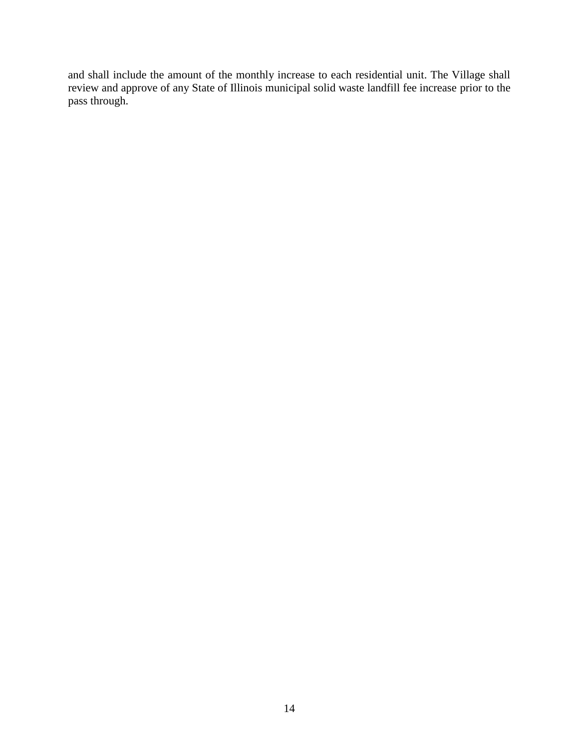and shall include the amount of the monthly increase to each residential unit. The Village shall review and approve of any State of Illinois municipal solid waste landfill fee increase prior to the pass through.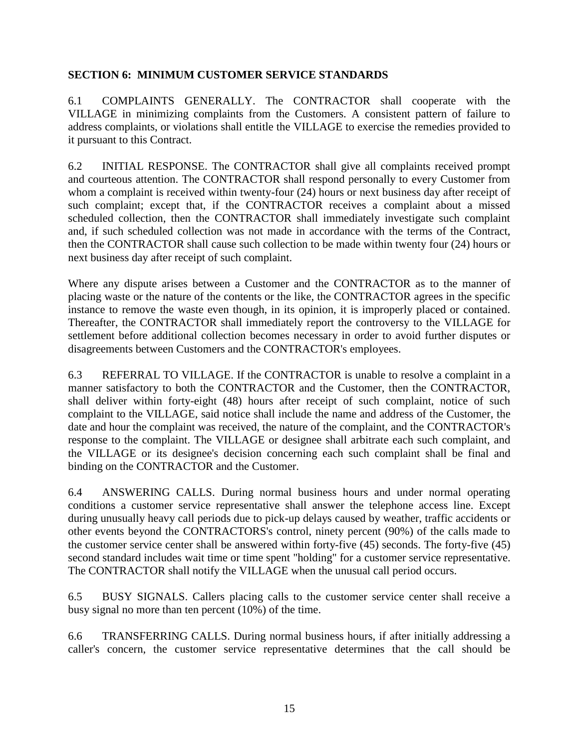#### **SECTION 6: MINIMUM CUSTOMER SERVICE STANDARDS**

6.1 COMPLAINTS GENERALLY. The CONTRACTOR shall cooperate with the VILLAGE in minimizing complaints from the Customers. A consistent pattern of failure to address complaints, or violations shall entitle the VILLAGE to exercise the remedies provided to it pursuant to this Contract.

6.2 INITIAL RESPONSE. The CONTRACTOR shall give all complaints received prompt and courteous attention. The CONTRACTOR shall respond personally to every Customer from whom a complaint is received within twenty-four (24) hours or next business day after receipt of such complaint; except that, if the CONTRACTOR receives a complaint about a missed scheduled collection, then the CONTRACTOR shall immediately investigate such complaint and, if such scheduled collection was not made in accordance with the terms of the Contract, then the CONTRACTOR shall cause such collection to be made within twenty four (24) hours or next business day after receipt of such complaint.

Where any dispute arises between a Customer and the CONTRACTOR as to the manner of placing waste or the nature of the contents or the like, the CONTRACTOR agrees in the specific instance to remove the waste even though, in its opinion, it is improperly placed or contained. Thereafter, the CONTRACTOR shall immediately report the controversy to the VILLAGE for settlement before additional collection becomes necessary in order to avoid further disputes or disagreements between Customers and the CONTRACTOR's employees.

6.3 REFERRAL TO VILLAGE. If the CONTRACTOR is unable to resolve a complaint in a manner satisfactory to both the CONTRACTOR and the Customer, then the CONTRACTOR, shall deliver within forty-eight (48) hours after receipt of such complaint, notice of such complaint to the VILLAGE, said notice shall include the name and address of the Customer, the date and hour the complaint was received, the nature of the complaint, and the CONTRACTOR's response to the complaint. The VILLAGE or designee shall arbitrate each such complaint, and the VILLAGE or its designee's decision concerning each such complaint shall be final and binding on the CONTRACTOR and the Customer.

6.4 ANSWERING CALLS. During normal business hours and under normal operating conditions a customer service representative shall answer the telephone access line. Except during unusually heavy call periods due to pick-up delays caused by weather, traffic accidents or other events beyond the CONTRACTORS's control, ninety percent (90%) of the calls made to the customer service center shall be answered within forty-five (45) seconds. The forty-five (45) second standard includes wait time or time spent "holding" for a customer service representative. The CONTRACTOR shall notify the VILLAGE when the unusual call period occurs.

6.5 BUSY SIGNALS. Callers placing calls to the customer service center shall receive a busy signal no more than ten percent (10%) of the time.

6.6 TRANSFERRING CALLS. During normal business hours, if after initially addressing a caller's concern, the customer service representative determines that the call should be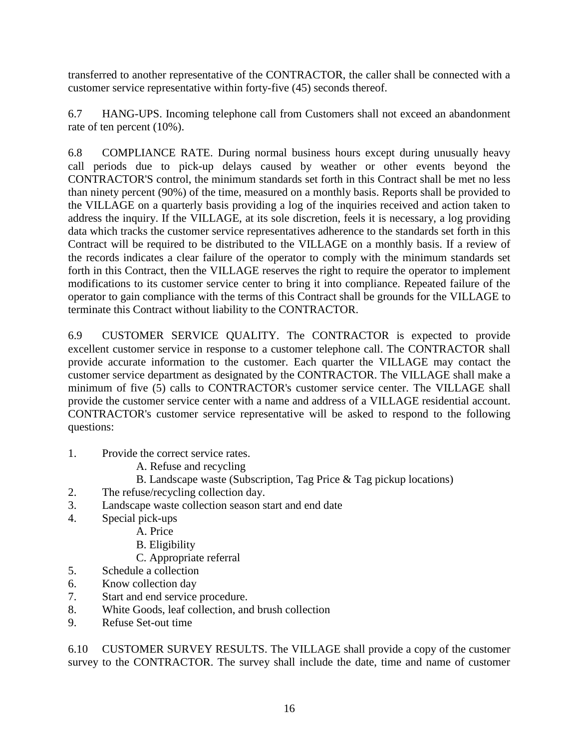transferred to another representative of the CONTRACTOR, the caller shall be connected with a customer service representative within forty-five (45) seconds thereof.

6.7 HANG-UPS. Incoming telephone call from Customers shall not exceed an abandonment rate of ten percent (10%).

6.8 COMPLIANCE RATE. During normal business hours except during unusually heavy call periods due to pick-up delays caused by weather or other events beyond the CONTRACTOR'S control, the minimum standards set forth in this Contract shall be met no less than ninety percent (90%) of the time, measured on a monthly basis. Reports shall be provided to the VILLAGE on a quarterly basis providing a log of the inquiries received and action taken to address the inquiry. If the VILLAGE, at its sole discretion, feels it is necessary, a log providing data which tracks the customer service representatives adherence to the standards set forth in this Contract will be required to be distributed to the VILLAGE on a monthly basis. If a review of the records indicates a clear failure of the operator to comply with the minimum standards set forth in this Contract, then the VILLAGE reserves the right to require the operator to implement modifications to its customer service center to bring it into compliance. Repeated failure of the operator to gain compliance with the terms of this Contract shall be grounds for the VILLAGE to terminate this Contract without liability to the CONTRACTOR.

6.9 CUSTOMER SERVICE QUALITY. The CONTRACTOR is expected to provide excellent customer service in response to a customer telephone call. The CONTRACTOR shall provide accurate information to the customer. Each quarter the VILLAGE may contact the customer service department as designated by the CONTRACTOR. The VILLAGE shall make a minimum of five (5) calls to CONTRACTOR's customer service center. The VILLAGE shall provide the customer service center with a name and address of a VILLAGE residential account. CONTRACTOR's customer service representative will be asked to respond to the following questions:

- 1. Provide the correct service rates.
	- A. Refuse and recycling
	- B. Landscape waste (Subscription, Tag Price & Tag pickup locations)
- 2. The refuse/recycling collection day.
- 3. Landscape waste collection season start and end date
- 4. Special pick-ups
	- A. Price
	- B. Eligibility
	- C. Appropriate referral
- 5. Schedule a collection
- 6. Know collection day
- 7. Start and end service procedure.
- 8. White Goods, leaf collection, and brush collection
- 9. Refuse Set-out time

6.10 CUSTOMER SURVEY RESULTS. The VILLAGE shall provide a copy of the customer survey to the CONTRACTOR. The survey shall include the date, time and name of customer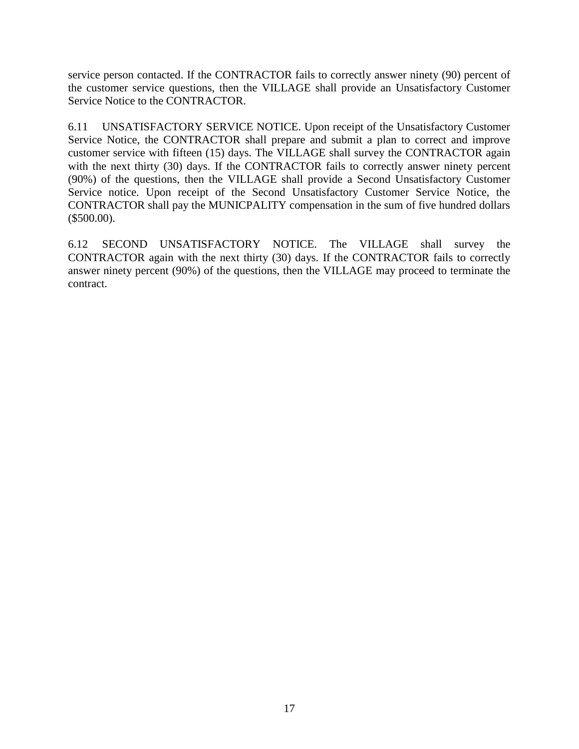service person contacted. If the CONTRACTOR fails to correctly answer ninety (90) percent of the customer service questions, then the VILLAGE shall provide an Unsatisfactory Customer Service Notice to the CONTRACTOR.

6.11 UNSATISFACTORY SERVICE NOTICE. Upon receipt of the Unsatisfactory Customer Service Notice, the CONTRACTOR shall prepare and submit a plan to correct and improve customer service with fifteen (15) days. The VILLAGE shall survey the CONTRACTOR again with the next thirty (30) days. If the CONTRACTOR fails to correctly answer ninety percent (90%) of the questions, then the VILLAGE shall provide a Second Unsatisfactory Customer Service notice. Upon receipt of the Second Unsatisfactory Customer Service Notice, the CONTRACTOR shall pay the MUNICPALITY compensation in the sum of five hundred dollars (\$500.00).

6.12 SECOND UNSATISFACTORY NOTICE. The VILLAGE shall survey the CONTRACTOR again with the next thirty (30) days. If the CONTRACTOR fails to correctly answer ninety percent (90%) of the questions, then the VILLAGE may proceed to terminate the contract.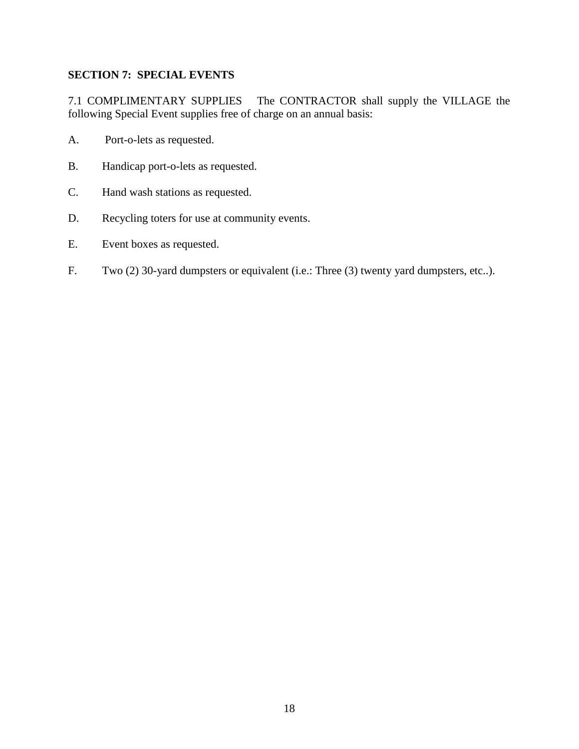# **SECTION 7: SPECIAL EVENTS**

7.1 COMPLIMENTARY SUPPLIES The CONTRACTOR shall supply the VILLAGE the following Special Event supplies free of charge on an annual basis:

- A. Port-o-lets as requested.
- B. Handicap port-o-lets as requested.
- C. Hand wash stations as requested.
- D. Recycling toters for use at community events.
- E. Event boxes as requested.
- F. Two (2) 30-yard dumpsters or equivalent (i.e.: Three (3) twenty yard dumpsters, etc..).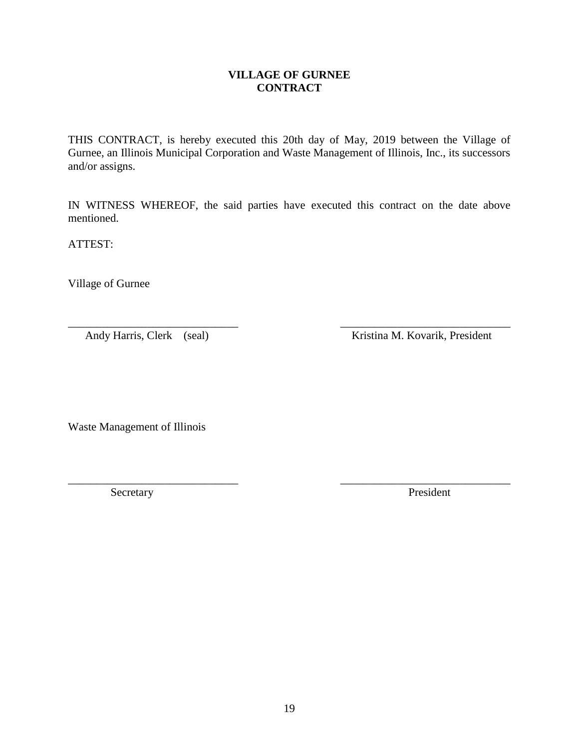**VILLAGE OF GURNEE CONTRACT**

THIS CONTRACT, is hereby executed this 20th day of May, 2019 between the Village of Gurnee, an Illinois Municipal Corporation and Waste Management of Illinois, Inc., its successors and/or assigns.

IN WITNESS WHEREOF, the said parties have executed this contract on the date above mentioned.

\_\_\_\_\_\_\_\_\_\_\_\_\_\_\_\_\_\_\_\_\_\_\_\_\_\_\_\_\_\_ \_\_\_\_\_\_\_\_\_\_\_\_\_\_\_\_\_\_\_\_\_\_\_\_\_\_\_\_\_\_

\_\_\_\_\_\_\_\_\_\_\_\_\_\_\_\_\_\_\_\_\_\_\_\_\_\_\_\_\_\_ \_\_\_\_\_\_\_\_\_\_\_\_\_\_\_\_\_\_\_\_\_\_\_\_\_\_\_\_\_\_

ATTEST:

Village of Gurnee

Andy Harris, Clerk (seal) Kristina M. Kovarik, President

Waste Management of Illinois

Secretary President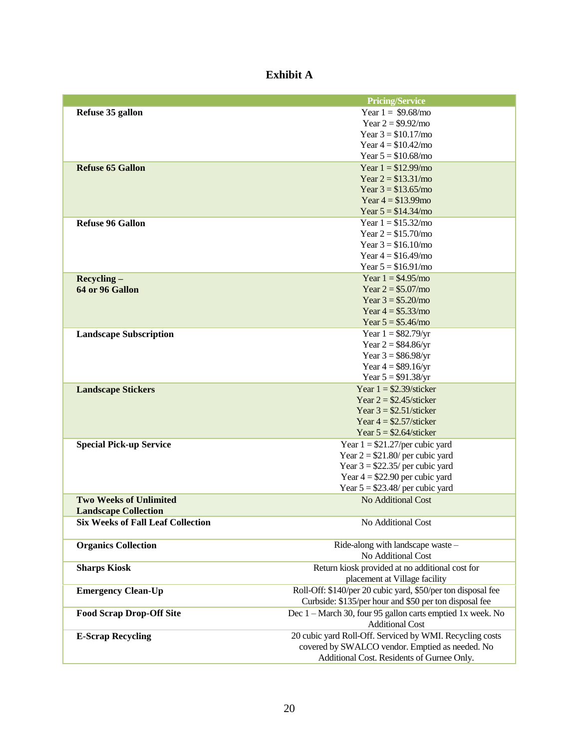# **Exhibit A**

|                                          | <b>Pricing/Service</b>                                       |
|------------------------------------------|--------------------------------------------------------------|
| Refuse 35 gallon                         | Year $1 = $9.68/$ mo                                         |
|                                          | Year $2 = $9.92/$ mo                                         |
|                                          | Year $3 = $10.17/$ mo                                        |
|                                          | Year $4 = $10.42$ /mo                                        |
|                                          | Year $5 = $10.68/m$ o                                        |
| <b>Refuse 65 Gallon</b>                  | Year $1 = $12.99/mo$                                         |
|                                          | Year $2 = $13.31/mo$                                         |
|                                          | Year $3 = $13.65/m$ o                                        |
|                                          | Year $4 = $13.99$ mo                                         |
|                                          | Year $5 = $14.34/mo$                                         |
| <b>Refuse 96 Gallon</b>                  | Year $1 = $15.32/mo$                                         |
|                                          | Year $2 = $15.70/mo$                                         |
|                                          | Year $3 = $16.10/m$ o                                        |
|                                          | Year $4 = $16.49$ /mo                                        |
|                                          | Year $5 = $16.91/m$ o                                        |
| $Recycling -$                            | Year $1 = $4.95/mo$                                          |
| 64 or 96 Gallon                          | Year $2 = $5.07/mo$                                          |
|                                          | Year $3 = $5.20/$ mo                                         |
|                                          | Year $4 = $5.33/mo$                                          |
|                                          | Year $5 = $5.46/$ mo                                         |
| <b>Landscape Subscription</b>            | Year $1 = $82.79/yr$                                         |
|                                          | Year $2 = $84.86$ /yr                                        |
|                                          | Year $3 = $86.98$ /yr                                        |
|                                          | Year $4 = $89.16$ /yr                                        |
|                                          | Year $5 = $91.38/yr$                                         |
| <b>Landscape Stickers</b>                | Year $1 = $2.39/\text{sticker}$                              |
|                                          | Year $2 = $2.45/\text{sticker}$                              |
|                                          | Year $3 = $2.51/\text{sticker}$                              |
|                                          | Year $4 = $2.57/\text{sticker}$                              |
|                                          | Year $5 = $2.64/\text{sticker}$                              |
| <b>Special Pick-up Service</b>           | Year $1 = $21.27/per$ cubic yard                             |
|                                          | Year $2 = $21.80$ per cubic yard                             |
|                                          | Year $3 = $22.35$ per cubic yard                             |
|                                          | Year $4 = $22.90$ per cubic yard                             |
|                                          | Year $5 = $23.48$ / per cubic yard                           |
| <b>Two Weeks of Unlimited</b>            | No Additional Cost                                           |
| <b>Landscape Collection</b>              |                                                              |
| <b>Six Weeks of Fall Leaf Collection</b> | No Additional Cost                                           |
| <b>Organics Collection</b>               | Ride-along with landscape waste -                            |
|                                          | No Additional Cost                                           |
| <b>Sharps Kiosk</b>                      | Return kiosk provided at no additional cost for              |
|                                          | placement at Village facility                                |
| <b>Emergency Clean-Up</b>                | Roll-Off: \$140/per 20 cubic yard, \$50/per ton disposal fee |
|                                          | Curbside: \$135/per hour and \$50 per ton disposal fee       |
| <b>Food Scrap Drop-Off Site</b>          | Dec 1 - March 30, four 95 gallon carts emptied 1x week. No   |
|                                          | <b>Additional Cost</b>                                       |
| <b>E-Scrap Recycling</b>                 | 20 cubic yard Roll-Off. Serviced by WMI. Recycling costs     |
|                                          | covered by SWALCO vendor. Emptied as needed. No              |
|                                          | Additional Cost. Residents of Gurnee Only.                   |
|                                          |                                                              |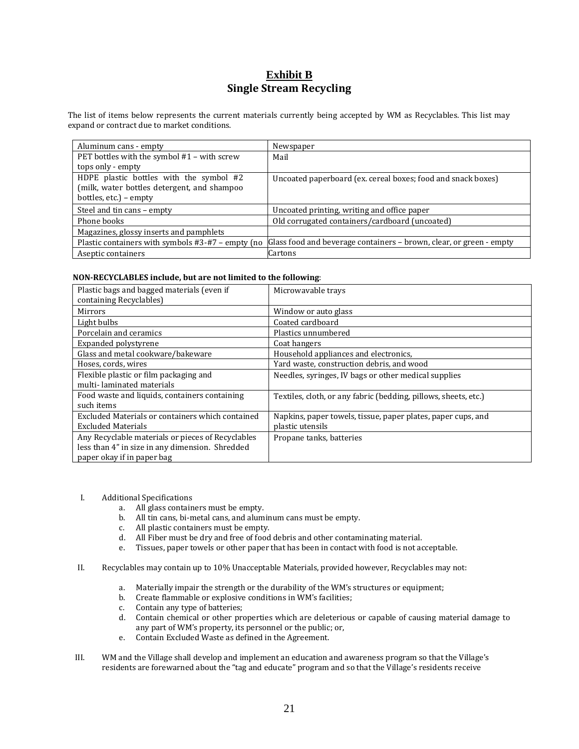#### **Exhibit B Single Stream Recycling**

The list of items below represents the current materials currently being accepted by WM as Recyclables. This list may expand or contract due to market conditions.

| Aluminum cans - empty                             | Newspaper                                                           |
|---------------------------------------------------|---------------------------------------------------------------------|
| PET bottles with the symbol #1 - with screw       | Mail                                                                |
| tops only - empty                                 |                                                                     |
| HDPE plastic bottles with the symbol #2           | Uncoated paperboard (ex. cereal boxes; food and snack boxes)        |
| (milk, water bottles detergent, and shampoo       |                                                                     |
| bottles, etc.) – empty                            |                                                                     |
| Steel and tin cans - empty                        | Uncoated printing, writing and office paper                         |
| Phone books                                       | Old corrugated containers/cardboard (uncoated)                      |
| Magazines, glossy inserts and pamphlets           |                                                                     |
| Plastic containers with symbols #3-#7 – empty (no | Glass food and beverage containers - brown, clear, or green - empty |
| Aseptic containers                                | Cartons                                                             |

#### **NON-RECYCLABLES include, but are not limited to the following**:

| Plastic bags and bagged materials (even if<br>containing Recyclables)                                                              | Microwayable trays                                                               |
|------------------------------------------------------------------------------------------------------------------------------------|----------------------------------------------------------------------------------|
| Mirrors                                                                                                                            | Window or auto glass                                                             |
| Light bulbs                                                                                                                        | Coated cardboard                                                                 |
| Porcelain and ceramics                                                                                                             | Plastics unnumbered                                                              |
| Expanded polystyrene                                                                                                               | Coat hangers                                                                     |
| Glass and metal cookware/bakeware                                                                                                  | Household appliances and electronics,                                            |
| Hoses, cords, wires                                                                                                                | Yard waste, construction debris, and wood                                        |
| Flexible plastic or film packaging and<br>multi-laminated materials                                                                | Needles, syringes, IV bags or other medical supplies                             |
| Food waste and liquids, containers containing<br>such items                                                                        | Textiles, cloth, or any fabric (bedding, pillows, sheets, etc.)                  |
| Excluded Materials or containers which contained<br><b>Excluded Materials</b>                                                      | Napkins, paper towels, tissue, paper plates, paper cups, and<br>plastic utensils |
| Any Recyclable materials or pieces of Recyclables<br>less than 4" in size in any dimension. Shredded<br>paper okay if in paper bag | Propane tanks, batteries                                                         |

- I. Additional Specifications
	- a. All glass containers must be empty.
	- b. All tin cans, bi-metal cans, and aluminum cans must be empty.
	- c. All plastic containers must be empty.
	- d. All Fiber must be dry and free of food debris and other contaminating material.
	- e. Tissues, paper towels or other paper that has been in contact with food is not acceptable.
- II. Recyclables may contain up to 10% Unacceptable Materials, provided however, Recyclables may not:
	- a. Materially impair the strength or the durability of the WM's structures or equipment;
	- b. Create flammable or explosive conditions in WM's facilities;
	- c. Contain any type of batteries;
	- d. Contain chemical or other properties which are deleterious or capable of causing material damage to any part of WM's property, its personnel or the public; or,
	- e. Contain Excluded Waste as defined in the Agreement.
- III. WM and the Village shall develop and implement an education and awareness program so that the Village's residents are forewarned about the "tag and educate" program and so that the Village's residents receive